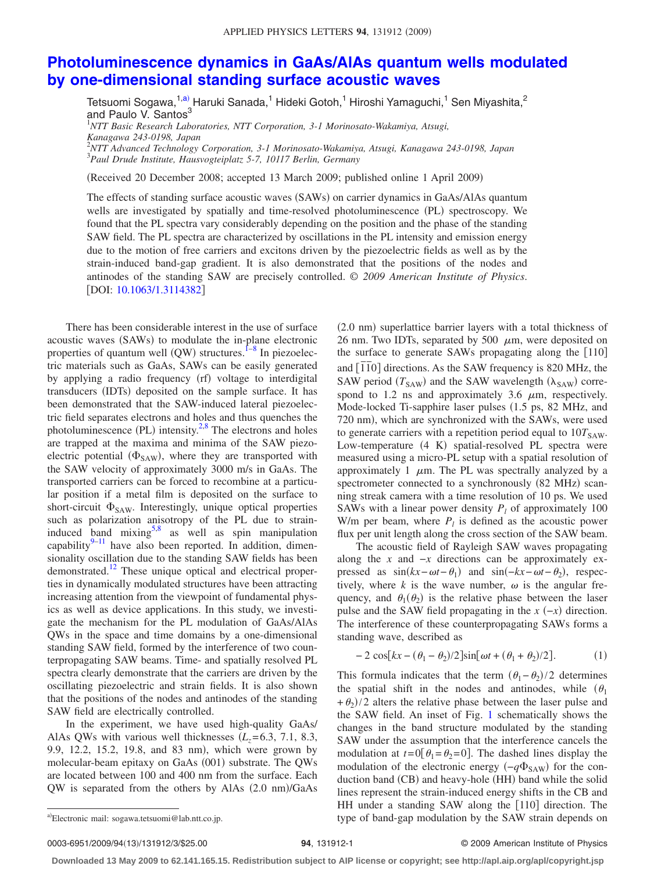## **[Photoluminescence dynamics in GaAs/AlAs quantum wells modulated](http://dx.doi.org/10.1063/1.3114382) [by one-dimensional standing surface acoustic waves](http://dx.doi.org/10.1063/1.3114382)**

Tetsuomi Sogawa,<sup>1[,a](#page-0-0))</sup> Haruki Sanada,<sup>1</sup> Hideki Gotoh,<sup>1</sup> Hiroshi Yamaguchi,<sup>1</sup> Sen Miyashita,<sup>2</sup> and Paulo V. Santos<sup>3</sup>

1 *NTT Basic Research Laboratories, NTT Corporation, 3-1 Morinosato-Wakamiya, Atsugi, Kanagawa 243-0198, Japan*

2 *NTT Advanced Technology Corporation, 3-1 Morinosato-Wakamiya, Atsugi, Kanagawa 243-0198, Japan* 3 *Paul Drude Institute, Hausvogteiplatz 5-7, 10117 Berlin, Germany*

Received 20 December 2008; accepted 13 March 2009; published online 1 April 2009-

The effects of standing surface acoustic waves (SAWs) on carrier dynamics in GaAs/AlAs quantum wells are investigated by spatially and time-resolved photoluminescence (PL) spectroscopy. We found that the PL spectra vary considerably depending on the position and the phase of the standing SAW field. The PL spectra are characterized by oscillations in the PL intensity and emission energy due to the motion of free carriers and excitons driven by the piezoelectric fields as well as by the strain-induced band-gap gradient. It is also demonstrated that the positions of the nodes and antinodes of the standing SAW are precisely controlled. © *2009 American Institute of Physics*. [DOI: [10.1063/1.3114382](http://dx.doi.org/10.1063/1.3114382)]

There has been considerable interest in the use of surface acoustic waves (SAWs) to modulate the in-plane electronic properties of quantum well  $(QW)$  structures.  $I^{-8}$  $I^{-8}$  $I^{-8}$  In piezoelectric materials such as GaAs, SAWs can be easily generated by applying a radio frequency (rf) voltage to interdigital transducers (IDTs) deposited on the sample surface. It has been demonstrated that the SAW-induced lateral piezoelectric field separates electrons and holes and thus quenches the photoluminescence (PL) intensity.<sup>2,[8](#page-2-1)</sup> The electrons and holes are trapped at the maxima and minima of the SAW piezoelectric potential  $(\Phi_{SAW})$ , where they are transported with the SAW velocity of approximately 3000 m/s in GaAs. The transported carriers can be forced to recombine at a particular position if a metal film is deposited on the surface to short-circuit  $\Phi_{SAW}$ . Interestingly, unique optical properties such as polarization anisotropy of the PL due to straininduced band mixing $5.8$  as well as spin manipulation capability $9-11$  $9-11$  have also been reported. In addition, dimensionality oscillation due to the standing SAW fields has been demonstrated.<sup>12</sup> These unique optical and electrical properties in dynamically modulated structures have been attracting increasing attention from the viewpoint of fundamental physics as well as device applications. In this study, we investigate the mechanism for the PL modulation of GaAs/AlAs QWs in the space and time domains by a one-dimensional standing SAW field, formed by the interference of two counterpropagating SAW beams. Time- and spatially resolved PL spectra clearly demonstrate that the carriers are driven by the oscillating piezoelectric and strain fields. It is also shown that the positions of the nodes and antinodes of the standing SAW field are electrically controlled.

In the experiment, we have used high-quality GaAs/ AlAs QWs with various well thicknesses  $(L<sub>z</sub>=6.3, 7.1, 8.3,$ 9.9, 12.2, 15.2, 19.8, and 83 nm), which were grown by molecular-beam epitaxy on GaAs (001) substrate. The QWs are located between 100 and 400 nm from the surface. Each QW is separated from the others by AlAs (2.0 nm)/GaAs

(2.0 nm) superlattice barrier layers with a total thickness of 26 nm. Two IDTs, separated by 500  $\mu$ m, were deposited on the surface to generate SAWs propagating along the  $[110]$ and  $\overline{[1\overline{1}0]}$  directions. As the SAW frequency is 820 MHz, the SAW period  $(T_{SAW})$  and the SAW wavelength ( $\lambda_{SAW}$ ) correspond to 1.2 ns and approximately 3.6  $\mu$ m, respectively. Mode-locked Ti-sapphire laser pulses (1.5 ps, 82 MHz, and 720 nm), which are synchronized with the SAWs, were used to generate carriers with a repetition period equal to  $10T<sub>SAW</sub>$ . Low-temperature (4 K) spatial-resolved PL spectra were measured using a micro-PL setup with a spatial resolution of approximately 1  $\mu$ m. The PL was spectrally analyzed by a spectrometer connected to a synchronously (82 MHz) scanning streak camera with a time resolution of 10 ps. We used SAWs with a linear power density  $P_l$  of approximately 100 W/m per beam, where  $P_l$  is defined as the acoustic power flux per unit length along the cross section of the SAW beam.

The acoustic field of Rayleigh SAW waves propagating along the *x* and  $-x$  directions can be approximately expressed as  $sin(kx - \omega t - \theta_1)$  and  $sin(-kx - \omega t - \theta_2)$ , respectively, where  $k$  is the wave number,  $\omega$  is the angular frequency, and  $\theta_1(\theta_2)$  is the relative phase between the laser pulse and the SAW field propagating in the  $x$   $(-x)$  direction. The interference of these counterpropagating SAWs forms a standing wave, described as

<span id="page-0-1"></span>
$$
-2\cos[kx - (\theta_1 - \theta_2)/2]\sin[\omega t + (\theta_1 + \theta_2)/2].\tag{1}
$$

This formula indicates that the term  $(\theta_1 - \theta_2)/2$  determines the spatial shift in the nodes and antinodes, while  $(\theta_1)$  $+\theta_2$ /2 alters the relative phase between the laser pulse and the SAW field. An inset of Fig. [1](#page-1-0) schematically shows the changes in the band structure modulated by the standing SAW under the assumption that the interference cancels the modulation at  $t=0$ [ $\theta_1 = \theta_2 = 0$ ]. The dashed lines display the modulation of the electronic energy ( $-q\Phi_{SAW}$ ) for the conduction band (CB) and heavy-hole (HH) band while the solid lines represent the strain-induced energy shifts in the CB and HH under a standing SAW along the [110] direction. The type of band-gap modulation by the SAW strain depends on

0003-6951/2009/94(13)/131912/3/\$25.00

## **94**, 131912-1 © 2009 American Institute of Physics

**Downloaded 13 May 2009 to 62.141.165.15. Redistribution subject to AIP license or copyright; see http://apl.aip.org/apl/copyright.jsp**

<span id="page-0-0"></span>Electronic mail: sogawa.tetsuomi@lab.ntt.co.jp.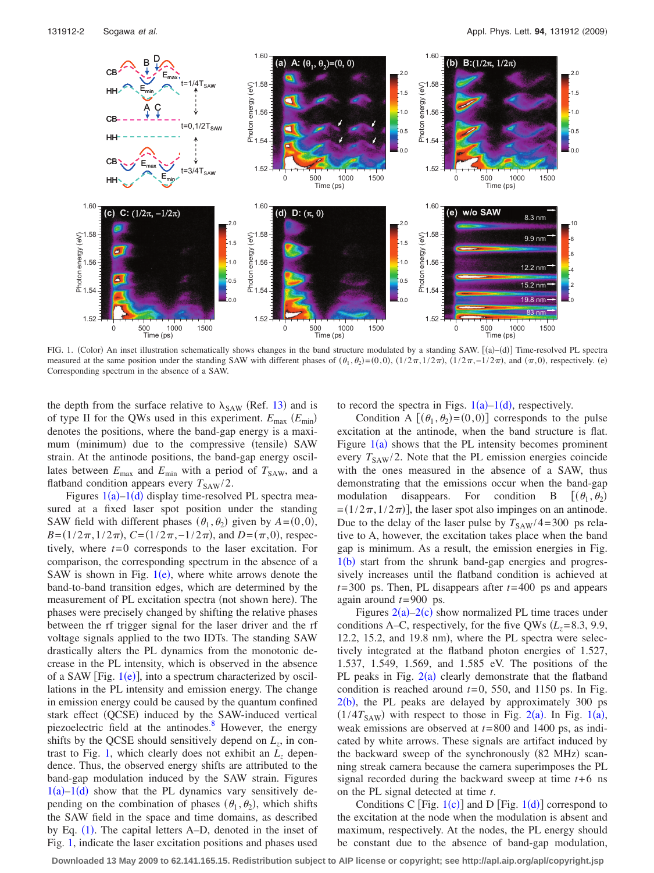<span id="page-1-0"></span>

FIG. 1. (Color) An inset illustration schematically shows changes in the band structure modulated by a standing SAW. [(a)–(d)] Time-resolved PL spectra measured at the same position under the standing SAW with different phases of  $(\theta_1, \theta_2) = (0, 0)$ ,  $(1/2\pi, 1/2\pi)$ ,  $(1/2\pi, -1/2\pi)$ , and  $(\pi, 0)$ , respectively. (e) Corresponding spectrum in the absence of a SAW.

the depth from the surface relative to  $\lambda_{SAW}$  (Ref. [13](#page-2-7)) and is of type II for the QWs used in this experiment.  $E_{\text{max}}$  ( $E_{\text{min}}$ ) denotes the positions, where the band-gap energy is a maximum (minimum) due to the compressive (tensile) SAW strain. At the antinode positions, the band-gap energy oscillates between  $E_{\text{max}}$  and  $E_{\text{min}}$  with a period of  $T_{\text{SAW}}$ , and a flatband condition appears every  $T_{\text{SAW}}/2$ .

Figures  $1(a)$  $1(a)$ - $1(d)$  display time-resolved PL spectra measured at a fixed laser spot position under the standing SAW field with different phases  $(\theta_1, \theta_2)$  given by  $A = (0,0)$ ,  $B = (1/2\pi, 1/2\pi), C = (1/2\pi, -1/2\pi), \text{ and } D = (\pi, 0), \text{ respec-}$ tively, where  $t=0$  corresponds to the laser excitation. For comparison, the corresponding spectrum in the absence of a SAW is shown in Fig.  $1(e)$  $1(e)$ , where white arrows denote the band-to-band transition edges, which are determined by the measurement of PL excitation spectra (not shown here). The phases were precisely changed by shifting the relative phases between the rf trigger signal for the laser driver and the rf voltage signals applied to the two IDTs. The standing SAW drastically alters the PL dynamics from the monotonic decrease in the PL intensity, which is observed in the absence of a SAW [Fig.  $1(e)$  $1(e)$ ], into a spectrum characterized by oscillations in the PL intensity and emission energy. The change in emission energy could be caused by the quantum confined stark effect (QCSE) induced by the SAW-induced vertical piezoelectric field at the antinodes.<sup>8</sup> However, the energy shifts by the QCSE should sensitively depend on  $L_z$ , in con-trast to Fig. [1,](#page-1-0) which clearly does not exhibit an  $L<sub>z</sub>$  dependence. Thus, the observed energy shifts are attributed to the band-gap modulation induced by the SAW strain. Figures  $1(a)-1(d)$  $1(a)-1(d)$  show that the PL dynamics vary sensitively depending on the combination of phases  $(\theta_1, \theta_2)$ , which shifts the SAW field in the space and time domains, as described by Eq. ([1](#page-0-1)). The capital letters A–D, denoted in the inset of Fig. [1,](#page-1-0) indicate the laser excitation positions and phases used to record the spectra in Figs.  $1(a)-1(d)$  $1(a)-1(d)$ , respectively.

Condition A  $[(\theta_1, \theta_2) = (0, 0)]$  corresponds to the pulse excitation at the antinode, when the band structure is flat. Figure  $1(a)$  $1(a)$  shows that the PL intensity becomes prominent every  $T_{SAW}/2$ . Note that the PL emission energies coincide with the ones measured in the absence of a SAW, thus demonstrating that the emissions occur when the band-gap modulation disappears. For condition B  $[(\theta_1, \theta_2)]$  $=(1/2\pi, 1/2\pi)$ , the laser spot also impinges on an antinode. Due to the delay of the laser pulse by  $T_{SAW}/4=300$  ps relative to A, however, the excitation takes place when the band gap is minimum. As a result, the emission energies in Fig.  $1(b)$  $1(b)$  start from the shrunk band-gap energies and progressively increases until the flatband condition is achieved at *t*= 300 ps. Then, PL disappears after *t*= 400 ps and appears again around *t*= 900 ps.

Figures  $2(a)-2(c)$  $2(a)-2(c)$  show normalized PL time traces under conditions A–C, respectively, for the five QWs  $(L_z=8.3, 9.9,$  $12.2$ ,  $15.2$ , and  $19.8$  nm), where the PL spectra were selectively integrated at the flatband photon energies of 1.527, 1.537, 1.549, 1.569, and 1.585 eV. The positions of the PL peaks in Fig.  $2(a)$  $2(a)$  clearly demonstrate that the flatband condition is reached around  $t=0$ , 550, and 1150 ps. In Fig.  $2(b)$  $2(b)$ , the PL peaks are delayed by approximately 300 ps  $(1/4T<sub>SAW</sub>)$  $(1/4T<sub>SAW</sub>)$  $(1/4T<sub>SAW</sub>)$  with respect to those in Fig. [2](#page-2-8)(a). In Fig. 1(a), weak emissions are observed at *t*= 800 and 1400 ps, as indicated by white arrows. These signals are artifact induced by the backward sweep of the synchronously (82 MHz) scanning streak camera because the camera superimposes the PL signal recorded during the backward sweep at time  $t+6$  ns on the PL signal detected at time *t*.

Conditions C [Fig.  $1(c)$  $1(c)$ ] and D [Fig.  $1(d)$ ] correspond to the excitation at the node when the modulation is absent and maximum, respectively. At the nodes, the PL energy should be constant due to the absence of band-gap modulation,